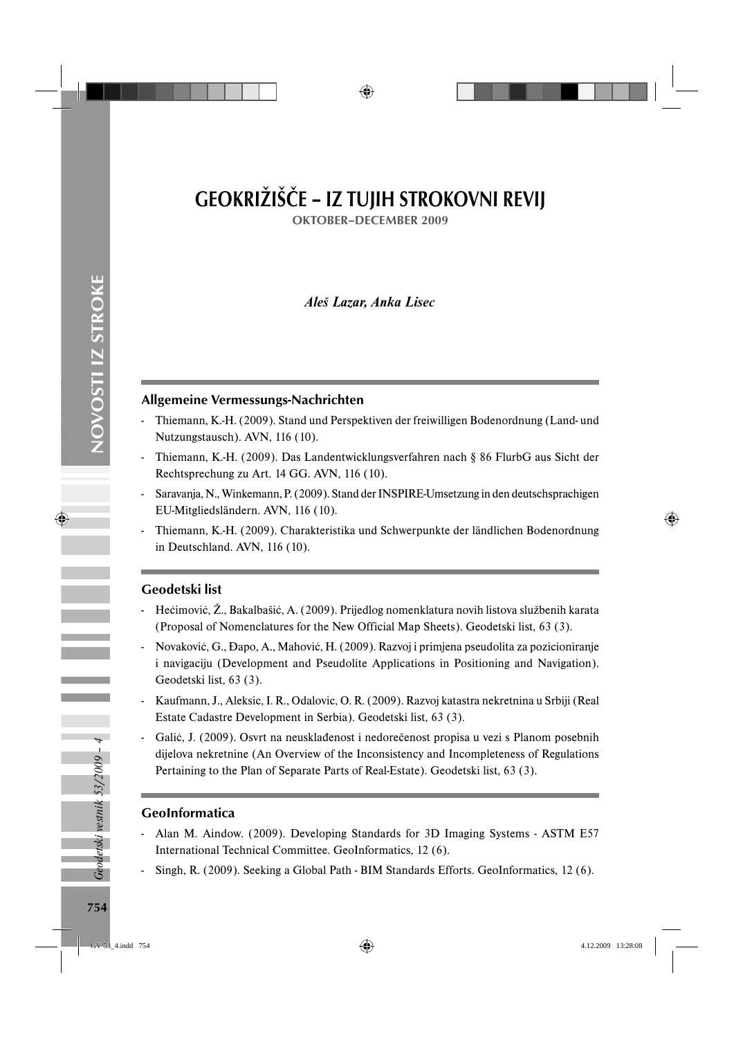# GEOKRIŽIŠČE – IZ TUJIH STROKOVNI REVIJ

OKTOBER–DECEMBER 2009

## *Aleš Lazar, Anka Lisec*

#### Allgemeine Vermessungs-Nachrichten

- Thiemann, K.-H. (2009). Stand und Perspektiven der freiwilligen Bodenordnung (Land- und Nutzungstausch). AVN, 116 (10).
- Thiemann, K.-H. (2009). Das Landentwicklungsverfahren nach § 86 FlurbG aus Sicht der Rechtsprechung zu Art. 14 GG. AVN, 116 (10).
- Saravanja, N., Winkemann, P. (2009). Stand der INSPIRE-Umsetzung in den deutschsprachigen EU-Mitgliedsländern. AVN, 116 (10).
- Thiemann, K.-H. (2009). Charakteristika und Schwerpunkte der ländlichen Bodenordnung in Deutschland. AVN, 116 (10).

#### Geodetski list

- Hećimović, Ž., Bakalbašić, A. (2009). Prijedlog nomenklatura novih listova službenih karata (Proposal of Nomenclatures for the New Official Map Sheets). Geodetski list, 63 (3).
- Novaković, G., Đapo, A., Mahović, H. (2009). Razvoj i primjena pseudolita za pozicioniranje i navigaciju (Development and Pseudolite Applications in Positioning and Navigation). Geodetski list, 63 (3).
- Kaufmann, J., Aleksic, I. R., Odalovic, O. R. (2009). Razvoj katastra nekretnina u Srbiji (Real Estate Cadastre Development in Serbia). Geodetski list, 63 (3).
- Galić, J. (2009). Osvrt na neusklađenost i nedorečenost propisa u vezi s Planom posebnih dijelova nekretnine (An Overview of the Inconsistency and Incompleteness of Regulations Pertaining to the Plan of Separate Parts of Real-Estate). Geodetski list, 63 (3).

#### GeoInformatica

- Alan M. Aindow. (2009). Developing Standards for 3D Imaging Systems ASTM E57 International Technical Committee. GeoInformatics, 12 (6).
- Singh, R. (2009). Seeking a Global Path BIM Standards Efforts. GeoInformatics, 12 (6).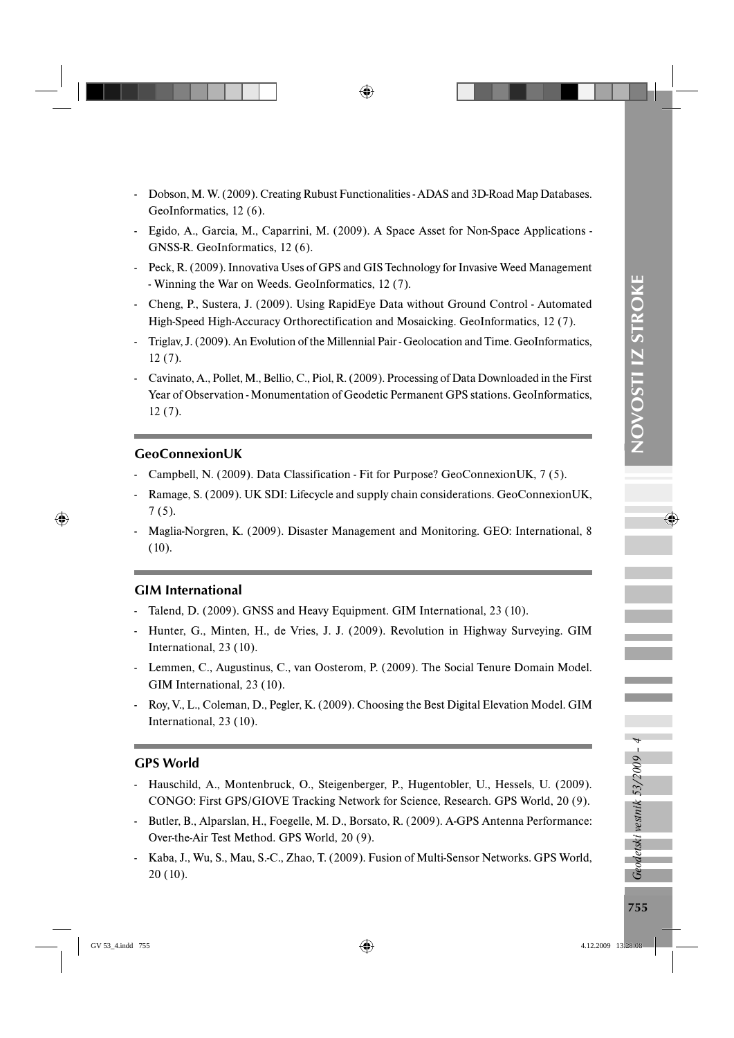- Dobson, M. W. (2009). Creating Rubust Functionalities ADAS and 3D-Road Map Databases. GeoInformatics, 12 (6).
- Egido, A., Garcia, M., Caparrini, M. (2009). A Space Asset for Non-Space Applications GNSS-R. GeoInformatics, 12 (6).
- Peck, R. (2009). Innovativa Uses of GPS and GIS Technology for Invasive Weed Management - Winning the War on Weeds. GeoInformatics, 12 (7).
- Cheng, P., Sustera, J. (2009). Using RapidEye Data without Ground Control Automated High-Speed High-Accuracy Orthorectification and Mosaicking. GeoInformatics, 12 (7).
- Triglav, J. (2009). An Evolution of the Millennial Pair Geolocation and Time. GeoInformatics, 12 (7).
- Cavinato, A., Pollet, M., Bellio, C., Piol, R. (2009). Processing of Data Downloaded in the First Year of Observation - Monumentation of Geodetic Permanent GPS stations. GeoInformatics, 12 (7).

#### GeoConnexionUK

- Campbell, N. (2009). Data Classification Fit for Purpose? GeoConnexionUK, 7 (5).
- Ramage, S. (2009). UK SDI: Lifecycle and supply chain considerations. GeoConnexionUK, 7 (5).
- Maglia-Norgren, K. (2009). Disaster Management and Monitoring. GEO: International, 8 (10).

## GIM International

- Talend, D. (2009). GNSS and Heavy Equipment. GIM International, 23 (10).
- Hunter, G., Minten, H., de Vries, J. J. (2009). Revolution in Highway Surveying. GIM International, 23 (10).
- Lemmen, C., Augustinus, C., van Oosterom, P. (2009). The Social Tenure Domain Model. GIM International, 23 (10).
- Roy, V., L., Coleman, D., Pegler, K. (2009). Choosing the Best Digital Elevation Model. GIM International, 23 (10).

### GPS World

- Hauschild, A., Montenbruck, O., Steigenberger, P., Hugentobler, U., Hessels, U. (2009). CONGO: First GPS/GIOVE Tracking Network for Science, Research. GPS World, 20 (9).
- Butler, B., Alparslan, H., Foegelle, M. D., Borsato, R. (2009). A-GPS Antenna Performance: Over-the-Air Test Method. GPS World, 20 (9).
- Kaba, J., Wu, S., Mau, S.-C., Zhao, T. (2009). Fusion of Multi-Sensor Networks. GPS World, 20 (10).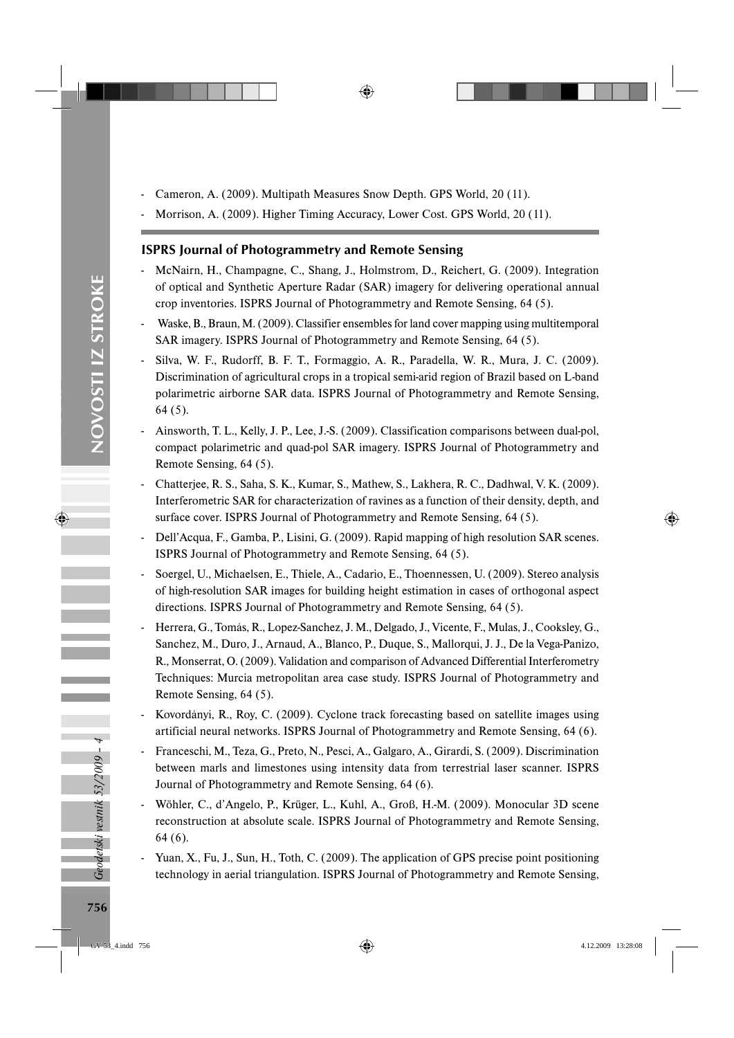- Cameron, A. (2009). Multipath Measures Snow Depth. GPS World, 20 (11).
- Morrison, A. (2009). Higher Timing Accuracy, Lower Cost. GPS World, 20 (11).

## ISPRS Journal of Photogrammetry and Remote Sensing

- McNairn, H., Champagne, C., Shang, J., Holmstrom, D., Reichert, G. (2009). Integration of optical and Synthetic Aperture Radar (SAR) imagery for delivering operational annual crop inventories. ISPRS Journal of Photogrammetry and Remote Sensing, 64 (5).
- Waske, B., Braun, M. (2009). Classifier ensembles for land cover mapping using multitemporal SAR imagery. ISPRS Journal of Photogrammetry and Remote Sensing, 64 (5).
- Silva, W. F., Rudorff, B. F. T., Formaggio, A. R., Paradella, W. R., Mura, J. C. (2009). Discrimination of agricultural crops in a tropical semi-arid region of Brazil based on L-band polarimetric airborne SAR data. ISPRS Journal of Photogrammetry and Remote Sensing, 64 (5).
- Ainsworth, T. L., Kelly, J. P., Lee, J.-S. (2009). Classification comparisons between dual-pol, compact polarimetric and quad-pol SAR imagery. ISPRS Journal of Photogrammetry and Remote Sensing, 64 (5).
- Chatterjee, R. S., Saha, S. K., Kumar, S., Mathew, S., Lakhera, R. C., Dadhwal, V. K. (2009). Interferometric SAR for characterization of ravines as a function of their density, depth, and surface cover. ISPRS Journal of Photogrammetry and Remote Sensing, 64 (5).
- Dell'Acqua, F., Gamba, P., Lisini, G. (2009). Rapid mapping of high resolution SAR scenes. ISPRS Journal of Photogrammetry and Remote Sensing, 64 (5).
- Soergel, U., Michaelsen, E., Thiele, A., Cadario, E., Thoennessen, U. (2009). Stereo analysis of high-resolution SAR images for building height estimation in cases of orthogonal aspect directions. ISPRS Journal of Photogrammetry and Remote Sensing, 64 (5).
- Herrera, G., Tomás, R., Lopez-Sanchez, J. M., Delgado, J., Vicente, F., Mulas, J., Cooksley, G., Sanchez, M., Duro, J., Arnaud, A., Blanco, P., Duque, S., Mallorqui, J. J., De la Vega-Panizo, R., Monserrat, O. (2009). Validation and comparison of Advanced Differential Interferometry Techniques: Murcia metropolitan area case study. ISPRS Journal of Photogrammetry and Remote Sensing, 64 (5).
- Kovordányi, R., Roy, C. (2009). Cyclone track forecasting based on satellite images using artificial neural networks. ISPRS Journal of Photogrammetry and Remote Sensing, 64 (6).
- Franceschi, M., Teza, G., Preto, N., Pesci, A., Galgaro, A., Girardi, S. (2009). Discrimination between marls and limestones using intensity data from terrestrial laser scanner. ISPRS Journal of Photogrammetry and Remote Sensing, 64 (6).
- Wöhler, C., d'Angelo, P., Krüger, L., Kuhl, A., Groß, H.-M. (2009). Monocular 3D scene reconstruction at absolute scale. ISPRS Journal of Photogrammetry and Remote Sensing, 64 (6).
- Yuan, X., Fu, J., Sun, H., Toth, C. (2009). The application of GPS precise point positioning technology in aerial triangulation. ISPRS Journal of Photogrammetry and Remote Sensing,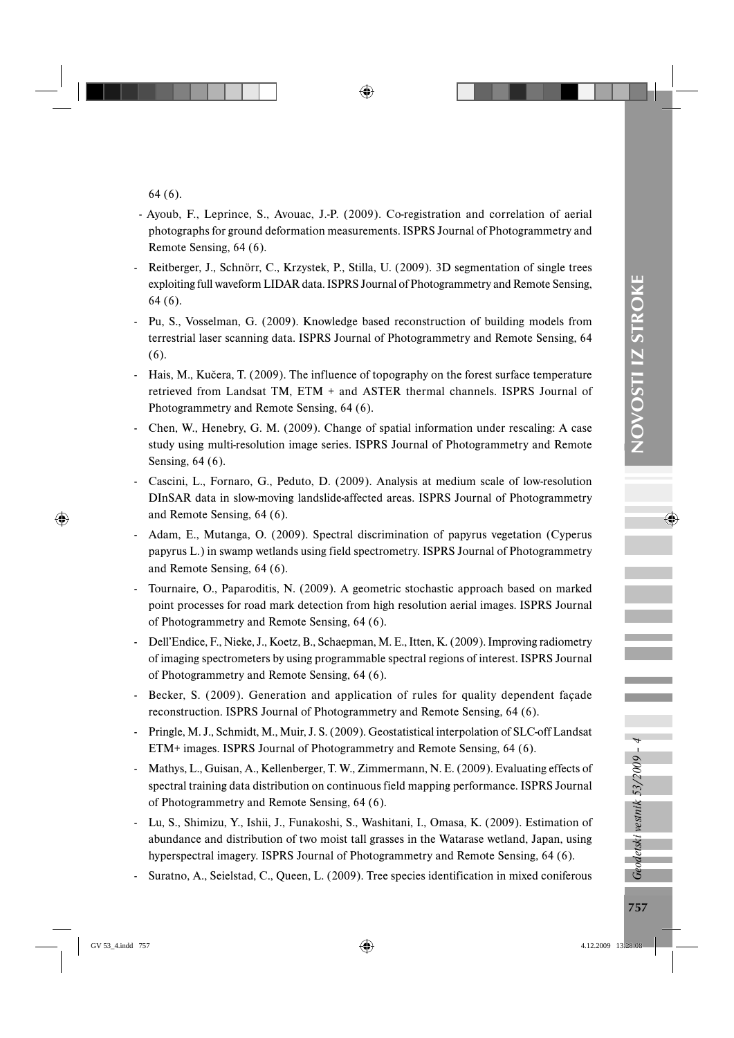64 (6).

- Ayoub, F., Leprince, S., Avouac, J.-P. (2009). Co-registration and correlation of aerial photographs for ground deformation measurements. ISPRS Journal of Photogrammetry and Remote Sensing, 64 (6).
- Reitberger, J., Schnörr, C., Krzystek, P., Stilla, U. (2009). 3D segmentation of single trees exploiting full waveform LIDAR data. ISPRS Journal of Photogrammetry and Remote Sensing, 64 (6).
- Pu, S., Vosselman, G. (2009). Knowledge based reconstruction of building models from terrestrial laser scanning data. ISPRS Journal of Photogrammetry and Remote Sensing, 64 (6).
- Hais, M., Kučera, T. (2009). The influence of topography on the forest surface temperature retrieved from Landsat TM, ETM + and ASTER thermal channels. ISPRS Journal of Photogrammetry and Remote Sensing, 64 (6).
- Chen, W., Henebry, G. M. (2009). Change of spatial information under rescaling: A case study using multi-resolution image series. ISPRS Journal of Photogrammetry and Remote Sensing, 64 (6).
- Cascini, L., Fornaro, G., Peduto, D. (2009). Analysis at medium scale of low-resolution DInSAR data in slow-moving landslide-affected areas. ISPRS Journal of Photogrammetry and Remote Sensing, 64 (6).
- Adam, E., Mutanga, O. (2009). Spectral discrimination of papyrus vegetation (Cyperus papyrus L.) in swamp wetlands using field spectrometry. ISPRS Journal of Photogrammetry and Remote Sensing, 64 (6).
- Tournaire, O., Paparoditis, N. (2009). A geometric stochastic approach based on marked point processes for road mark detection from high resolution aerial images. ISPRS Journal of Photogrammetry and Remote Sensing, 64 (6).
- Dell'Endice, F., Nieke, J., Koetz, B., Schaepman, M. E., Itten, K. (2009). Improving radiometry of imaging spectrometers by using programmable spectral regions of interest. ISPRS Journal of Photogrammetry and Remote Sensing, 64 (6).
- Becker, S. (2009). Generation and application of rules for quality dependent façade reconstruction. ISPRS Journal of Photogrammetry and Remote Sensing, 64 (6).
- Pringle, M. J., Schmidt, M., Muir, J. S. (2009). Geostatistical interpolation of SLC-off Landsat ETM+ images. ISPRS Journal of Photogrammetry and Remote Sensing, 64 (6).
- Mathys, L., Guisan, A., Kellenberger, T. W., Zimmermann, N. E. (2009). Evaluating effects of spectral training data distribution on continuous field mapping performance. ISPRS Journal of Photogrammetry and Remote Sensing, 64 (6).
- Lu, S., Shimizu, Y., Ishii, J., Funakoshi, S., Washitani, I., Omasa, K. (2009). Estimation of abundance and distribution of two moist tall grasses in the Watarase wetland, Japan, using hyperspectral imagery. ISPRS Journal of Photogrammetry and Remote Sensing, 64 (6).
- Suratno, A., Seielstad, C., Queen, L. (2009). Tree species identification in mixed coniferous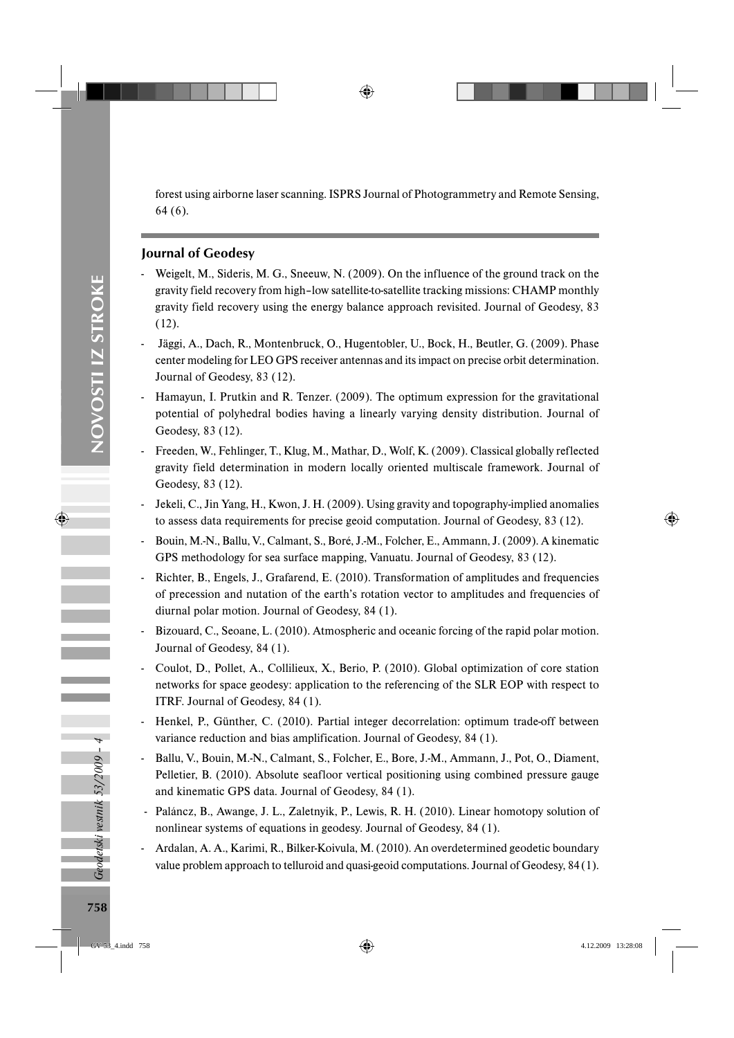forest using airborne laser scanning. ISPRS Journal of Photogrammetry and Remote Sensing, 64 (6).

### Journal of Geodesy

- Weigelt, M., Sideris, M. G., Sneeuw, N. (2009). On the influence of the ground track on the gravity field recovery from high–low satellite-to-satellite tracking missions: CHAMP monthly gravity field recovery using the energy balance approach revisited. Journal of Geodesy, 83 (12).
- Jäggi, A., Dach, R., Montenbruck, O., Hugentobler, U., Bock, H., Beutler, G. (2009). Phase center modeling for LEO GPS receiver antennas and its impact on precise orbit determination. Journal of Geodesy, 83 (12).
- Hamayun, I. Prutkin and R. Tenzer. (2009). The optimum expression for the gravitational potential of polyhedral bodies having a linearly varying density distribution. Journal of Geodesy, 83 (12).
- Freeden, W., Fehlinger, T., Klug, M., Mathar, D., Wolf, K. (2009). Classical globally reflected gravity field determination in modern locally oriented multiscale framework. Journal of Geodesy, 83 (12).
- Jekeli, C., Jin Yang, H., Kwon, J. H. (2009). Using gravity and topography-implied anomalies to assess data requirements for precise geoid computation. Journal of Geodesy, 83 (12).
- Bouin, M.-N., Ballu, V., Calmant, S., Boré, J.-M., Folcher, E., Ammann, J. (2009). A kinematic GPS methodology for sea surface mapping, Vanuatu. Journal of Geodesy, 83 (12).
- Richter, B., Engels, J., Grafarend, E. (2010). Transformation of amplitudes and frequencies of precession and nutation of the earth's rotation vector to amplitudes and frequencies of diurnal polar motion. Journal of Geodesy, 84 (1).
- Bizouard, C., Seoane, L. (2010). Atmospheric and oceanic forcing of the rapid polar motion. Journal of Geodesy, 84 (1).
- Coulot, D., Pollet, A., Collilieux, X., Berio, P. (2010). Global optimization of core station networks for space geodesy: application to the referencing of the SLR EOP with respect to ITRF. Journal of Geodesy, 84 (1).
- Henkel, P., Günther, C. (2010). Partial integer decorrelation: optimum trade-off between variance reduction and bias amplification. Journal of Geodesy, 84 (1).
- Ballu, V., Bouin, M.-N., Calmant, S., Folcher, E., Bore, J.-M., Ammann, J., Pot, O., Diament, Pelletier, B. (2010). Absolute seafloor vertical positioning using combined pressure gauge and kinematic GPS data. Journal of Geodesy, 84 (1).
- Paláncz, B., Awange, J. L., Zaletnyik, P., Lewis, R. H. (2010). Linear homotopy solution of nonlinear systems of equations in geodesy. Journal of Geodesy, 84 (1).
- Ardalan, A. A., Karimi, R., Bilker-Koivula, M. (2010). An overdetermined geodetic boundary value problem approach to telluroid and quasi-geoid computations. Journal of Geodesy, 84 (1).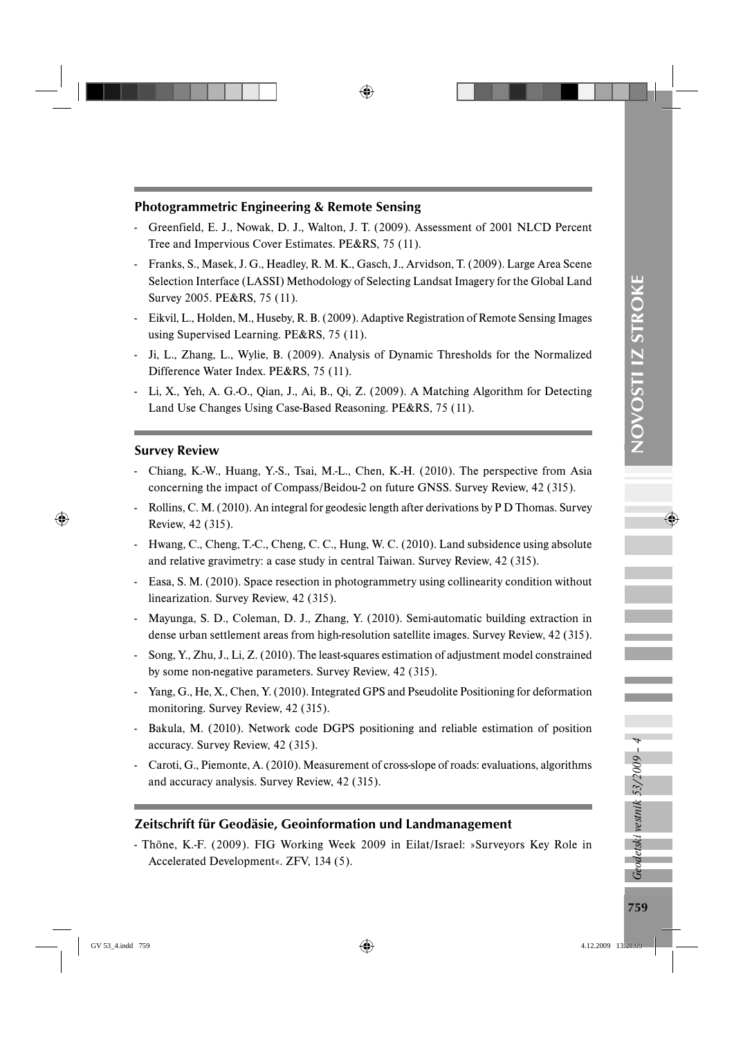#### Photogrammetric Engineering & Remote Sensing

- Greenfield, E. J., Nowak, D. J., Walton, J. T. (2009). Assessment of 2001 NLCD Percent Tree and Impervious Cover Estimates. PE&RS, 75 (11).
- Franks, S., Masek, J. G., Headley, R. M. K., Gasch, J., Arvidson, T. (2009). Large Area Scene Selection Interface (LASSI) Methodology of Selecting Landsat Imagery for the Global Land Survey 2005. PE&RS, 75 (11).
- Eikvil, L., Holden, M., Huseby, R. B. (2009). Adaptive Registration of Remote Sensing Images using Supervised Learning. PE&RS, 75 (11).
- Ji, L., Zhang, L., Wylie, B. (2009). Analysis of Dynamic Thresholds for the Normalized Difference Water Index. PE&RS, 75 (11).
- Li, X., Yeh, A. G.-O., Qian, J., Ai, B., Qi, Z. (2009). A Matching Algorithm for Detecting Land Use Changes Using Case-Based Reasoning. PE&RS, 75 (11).

#### Survey Review

- Chiang, K.-W., Huang, Y.-S., Tsai, M.-L., Chen, K.-H. (2010). The perspective from Asia concerning the impact of Compass/Beidou-2 on future GNSS. Survey Review, 42 (315).
- Rollins, C. M. (2010). An integral for geodesic length after derivations by P D Thomas. Survey Review, 42 (315).
- Hwang, C., Cheng, T.-C., Cheng, C. C., Hung, W. C. (2010). Land subsidence using absolute and relative gravimetry: a case study in central Taiwan. Survey Review, 42 (315).
- Easa, S. M. (2010). Space resection in photogrammetry using collinearity condition without linearization. Survey Review, 42 (315).
- Mayunga, S. D., Coleman, D. J., Zhang, Y. (2010). Semi-automatic building extraction in dense urban settlement areas from high-resolution satellite images. Survey Review, 42 (315).
- Song, Y., Zhu, J., Li, Z. (2010). The least-squares estimation of adjustment model constrained by some non-negative parameters. Survey Review, 42 (315).
- Yang, G., He, X., Chen, Y. (2010). Integrated GPS and Pseudolite Positioning for deformation monitoring. Survey Review, 42 (315).
- Bakula, M. (2010). Network code DGPS positioning and reliable estimation of position accuracy. Survey Review, 42 (315).
- Caroti, G., Piemonte, A. (2010). Measurement of cross-slope of roads: evaluations, algorithms and accuracy analysis. Survey Review, 42 (315).

#### Zeitschrift für Geodäsie, Geoinformation und Landmanagement

- Thöne, K.-F. (2009). FIG Working Week 2009 in Eilat/Israel: »Surveyors Key Role in Accelerated Development«. ZFV, 134 (5).